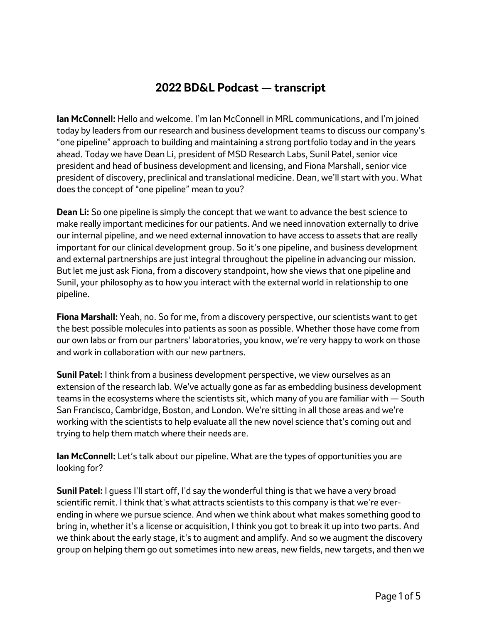## **2022 BD&L Podcast — transcript**

**Ian McConnell:** Hello and welcome. I'm Ian McConnell in MRL communications, and I'm joined today by leaders from our research and business development teams to discuss our company's "one pipeline" approach to building and maintaining a strong portfolio today and in the years ahead. Today we have Dean Li, president of MSD Research Labs, Sunil Patel, senior vice president and head of business development and licensing, and Fiona Marshall, senior vice president of discovery, preclinical and translational medicine. Dean, we'll start with you. What does the concept of "one pipeline" mean to you?

**Dean Li:** So one pipeline is simply the concept that we want to advance the best science to make really important medicines for our patients. And we need innovation externally to drive our internal pipeline, and we need external innovation to have access to assets that are really important for our clinical development group. So it's one pipeline, and business development and external partnerships are just integral throughout the pipeline in advancing our mission. But let me just ask Fiona, from a discovery standpoint, how she views that one pipeline and Sunil, your philosophy as to how you interact with the external world in relationship to one pipeline.

**Fiona Marshall:** Yeah, no. So for me, from a discovery perspective, our scientists want to get the best possible molecules into patients as soon as possible. Whether those have come from our own labs or from our partners' laboratories, you know, we're very happy to work on those and work in collaboration with our new partners.

**Sunil Patel:** I think from a business development perspective, we view ourselves as an extension of the research lab. We've actually gone as far as embedding business development teams in the ecosystems where the scientists sit, which many of you are familiar with — South San Francisco, Cambridge, Boston, and London. We're sitting in all those areas and we're working with the scientists to help evaluate all the new novel science that's coming out and trying to help them match where their needs are.

**Ian McConnell:** Let's talk about our pipeline. What are the types of opportunities you are looking for?

**Sunil Patel:** I guess I'll start off, I'd say the wonderful thing is that we have a very broad scientific remit. I think that's what attracts scientists to this company is that we're everending in where we pursue science. And when we think about what makes something good to bring in, whether it's a license or acquisition, I think you got to break it up into two parts. And we think about the early stage, it's to augment and amplify. And so we augment the discovery group on helping them go out sometimes into new areas, new fields, new targets, and then we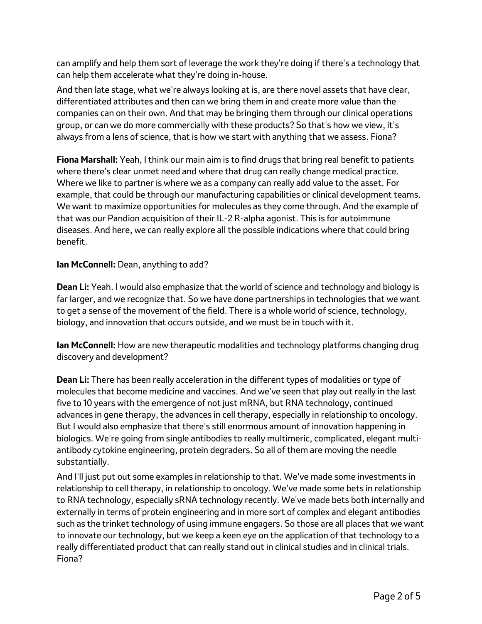can amplify and help them sort of leverage the work they're doing if there's a technology that can help them accelerate what they're doing in-house.

And then late stage, what we're always looking at is, are there novel assets that have clear, differentiated attributes and then can we bring them in and create more value than the companies can on their own. And that may be bringing them through our clinical operations group, or can we do more commercially with these products? So that's how we view, it's always from a lens of science, that is how we start with anything that we assess. Fiona?

**Fiona Marshall:** Yeah, I think our main aim is to find drugs that bring real benefit to patients where there's clear unmet need and where that drug can really change medical practice. Where we like to partner is where we as a company can really add value to the asset. For example, that could be through our manufacturing capabilities or clinical development teams. We want to maximize opportunities for molecules as they come through. And the example of that was our Pandion acquisition of their IL-2 R-alpha agonist. This is for autoimmune diseases. And here, we can really explore all the possible indications where that could bring benefit.

**Ian McConnell:** Dean, anything to add?

**Dean Li:** Yeah. I would also emphasize that the world of science and technology and biology is far larger, and we recognize that. So we have done partnerships in technologies that we want to get a sense of the movement of the field. There is a whole world of science, technology, biology, and innovation that occurs outside, and we must be in touch with it.

**Ian McConnell:** How are new therapeutic modalities and technology platforms changing drug discovery and development?

**Dean Li:** There has been really acceleration in the different types of modalities or type of molecules that become medicine and vaccines. And we've seen that play out really in the last five to 10 years with the emergence of not just mRNA, but RNA technology, continued advances in gene therapy, the advances in cell therapy, especially in relationship to oncology. But I would also emphasize that there's still enormous amount of innovation happening in biologics. We're going from single antibodies to really multimeric, complicated, elegant multiantibody cytokine engineering, protein degraders. So all of them are moving the needle substantially.

And I'll just put out some examples in relationship to that. We've made some investments in relationship to cell therapy, in relationship to oncology. We've made some bets in relationship to RNA technology, especially sRNA technology recently. We've made bets both internally and externally in terms of protein engineering and in more sort of complex and elegant antibodies such as the trinket technology of using immune engagers. So those are all places that we want to innovate our technology, but we keep a keen eye on the application of that technology to a really differentiated product that can really stand out in clinical studies and in clinical trials. Fiona?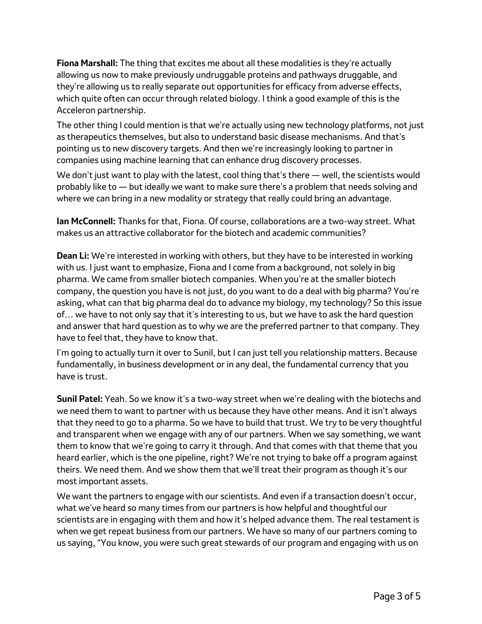**Fiona Marshall:** The thing that excites me about all these modalities is they're actually allowing us now to make previously undruggable proteins and pathways druggable, and they're allowing us to really separate out opportunities for efficacy from adverse effects, which quite often can occur through related biology. I think a good example of this is the Acceleron partnership.

The other thing I could mention is that we're actually using new technology platforms, not just as therapeutics themselves, but also to understand basic disease mechanisms. And that's pointing us to new discovery targets. And then we're increasingly looking to partner in companies using machine learning that can enhance drug discovery processes.

We don't just want to play with the latest, cool thing that's there — well, the scientists would probably like to — but ideally we want to make sure there's a problem that needs solving and where we can bring in a new modality or strategy that really could bring an advantage.

**Ian McConnell:** Thanks for that, Fiona. Of course, collaborations are a two-way street. What makes us an attractive collaborator for the biotech and academic communities?

**Dean Li:** We're interested in working with others, but they have to be interested in working with us. I just want to emphasize, Fiona and I come from a background, not solely in big pharma. We came from smaller biotech companies. When you're at the smaller biotech company, the question you have is not just, do you want to do a deal with big pharma? You're asking, what can that big pharma deal do to advance my biology, my technology? So this issue of… we have to not only say that it's interesting to us, but we have to ask the hard question and answer that hard question as to why we are the preferred partner to that company. They have to feel that, they have to know that.

I'm going to actually turn it over to Sunil, but I can just tell you relationship matters. Because fundamentally, in business development or in any deal, the fundamental currency that you have is trust.

**Sunil Patel:** Yeah. So we know it's a two-way street when we're dealing with the biotechs and we need them to want to partner with us because they have other means. And it isn't always that they need to go to a pharma. So we have to build that trust. We try to be very thoughtful and transparent when we engage with any of our partners. When we say something, we want them to know that we're going to carry it through. And that comes with that theme that you heard earlier, which is the one pipeline, right? We're not trying to bake off a program against theirs. We need them. And we show them that we'll treat their program as though it's our most important assets.

We want the partners to engage with our scientists. And even if a transaction doesn't occur, what we've heard so many times from our partners is how helpful and thoughtful our scientists are in engaging with them and how it's helped advance them. The real testament is when we get repeat business from our partners. We have so many of our partners coming to us saying, "You know, you were such great stewards of our program and engaging with us on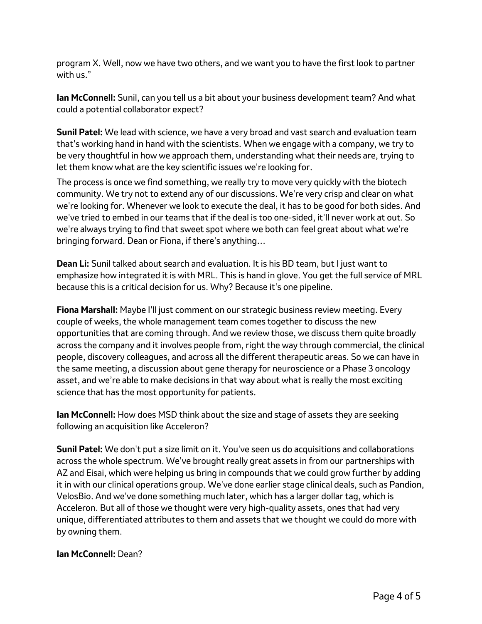program X. Well, now we have two others, and we want you to have the first look to partner with us."

**Ian McConnell:** Sunil, can you tell us a bit about your business development team? And what could a potential collaborator expect?

**Sunil Patel:** We lead with science, we have a very broad and vast search and evaluation team that's working hand in hand with the scientists. When we engage with a company, we try to be very thoughtful in how we approach them, understanding what their needs are, trying to let them know what are the key scientific issues we're looking for.

The process is once we find something, we really try to move very quickly with the biotech community. We try not to extend any of our discussions. We're very crisp and clear on what we're looking for. Whenever we look to execute the deal, it has to be good for both sides. And we've tried to embed in our teams that if the deal is too one-sided, it'll never work at out. So we're always trying to find that sweet spot where we both can feel great about what we're bringing forward. Dean or Fiona, if there's anything…

**Dean Li:** Sunil talked about search and evaluation. It is his BD team, but I just want to emphasize how integrated it is with MRL. This is hand in glove. You get the full service of MRL because this is a critical decision for us. Why? Because it's one pipeline.

**Fiona Marshall:** Maybe I'll just comment on our strategic business review meeting. Every couple of weeks, the whole management team comes together to discuss the new opportunities that are coming through. And we review those, we discuss them quite broadly across the company and it involves people from, right the way through commercial, the clinical people, discovery colleagues, and across all the different therapeutic areas. So we can have in the same meeting, a discussion about gene therapy for neuroscience or a Phase 3 oncology asset, and we're able to make decisions in that way about what is really the most exciting science that has the most opportunity for patients.

**Ian McConnell:** How does MSD think about the size and stage of assets they are seeking following an acquisition like Acceleron?

**Sunil Patel:** We don't put a size limit on it. You've seen us do acquisitions and collaborations across the whole spectrum. We've brought really great assets in from our partnerships with AZ and Eisai, which were helping us bring in compounds that we could grow further by adding it in with our clinical operations group. We've done earlier stage clinical deals, such as Pandion, VelosBio. And we've done something much later, which has a larger dollar tag, which is Acceleron. But all of those we thought were very high-quality assets, ones that had very unique, differentiated attributes to them and assets that we thought we could do more with by owning them.

## **Ian McConnell:** Dean?